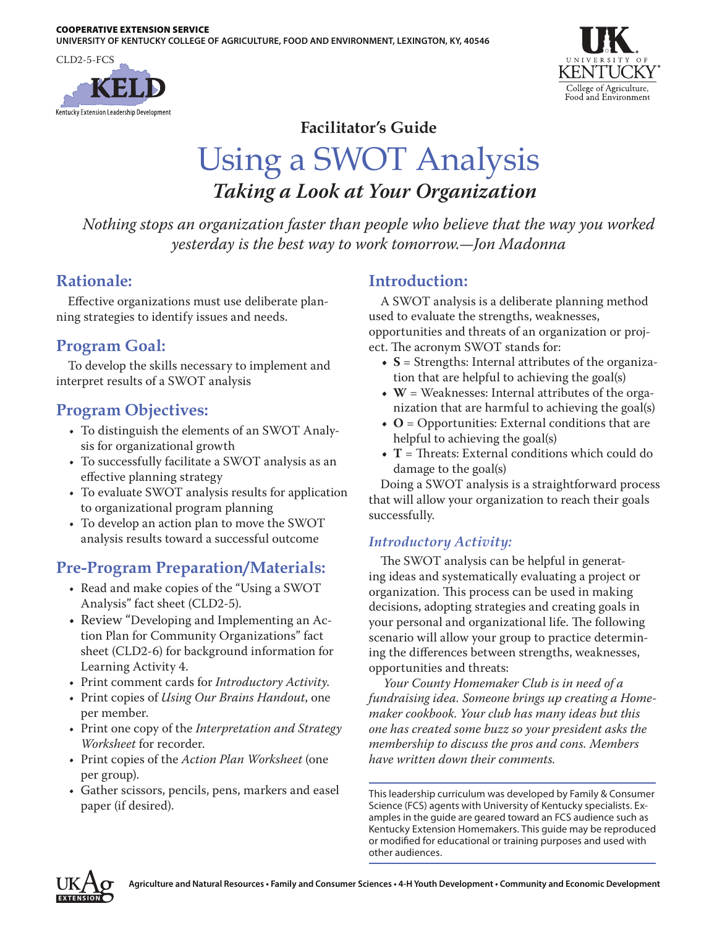



### **Facilitator's Guide**

# Using a SWOT Analysis *Taking a Look at Your Organization*

*Nothing stops an organization faster than people who believe that the way you worked yesterday is the best way to work tomorrow.—Jon Madonna*

### **Rationale:**

Effective organizations must use deliberate planning strategies to identify issues and needs.

# **Program Goal:**

To develop the skills necessary to implement and interpret results of a SWOT analysis

# **Program Objectives:**

- To distinguish the elements of an SWOT Analysis for organizational growth
- To successfully facilitate a SWOT analysis as an effective planning strategy
- To evaluate SWOT analysis results for application to organizational program planning
- To develop an action plan to move the SWOT analysis results toward a successful outcome

# **Pre-Program Preparation/Materials:**

- Read and make copies of the "Using a SWOT Analysis" fact sheet (CLD2-5).
- Review "Developing and Implementing an Action Plan for Community Organizations" fact sheet (CLD2-6) for background information for Learning Activity 4.
- • Print comment cards for *Introductory Activity*.
- • Print copies of *Using Our Brains Handout*, one per member.
- • Print one copy of the *Interpretation and Strategy Worksheet* for recorder.
- • Print copies of the *Action Plan Worksheet* (one per group).
- • Gather scissors, pencils, pens, markers and easel paper (if desired).

# **Introduction:**

A SWOT analysis is a deliberate planning method used to evaluate the strengths, weaknesses, opportunities and threats of an organization or project. The acronym SWOT stands for:

- **• S** = Strengths: Internal attributes of the organization that are helpful to achieving the goal(s)
- **W** = Weaknesses: Internal attributes of the organization that are harmful to achieving the goal(s)
- **• O** = Opportunities: External conditions that are helpful to achieving the goal(s)
- **• T** = Threats: External conditions which could do damage to the goal(s)

Doing a SWOT analysis is a straightforward process that will allow your organization to reach their goals successfully.

#### *Introductory Activity:*

The SWOT analysis can be helpful in generating ideas and systematically evaluating a project or organization. This process can be used in making decisions, adopting strategies and creating goals in your personal and organizational life. The following scenario will allow your group to practice determining the differences between strengths, weaknesses, opportunities and threats:

 *Your County Homemaker Club is in need of a fundraising idea. Someone brings up creating a Homemaker cookbook. Your club has many ideas but this one has created some buzz so your president asks the membership to discuss the pros and cons. Members have written down their comments.*

This leadership curriculum was developed by Family & Consumer Science (FCS) agents with University of Kentucky specialists. Examples in the guide are geared toward an FCS audience such as Kentucky Extension Homemakers. This guide may be reproduced or modified for educational or training purposes and used with other audiences.

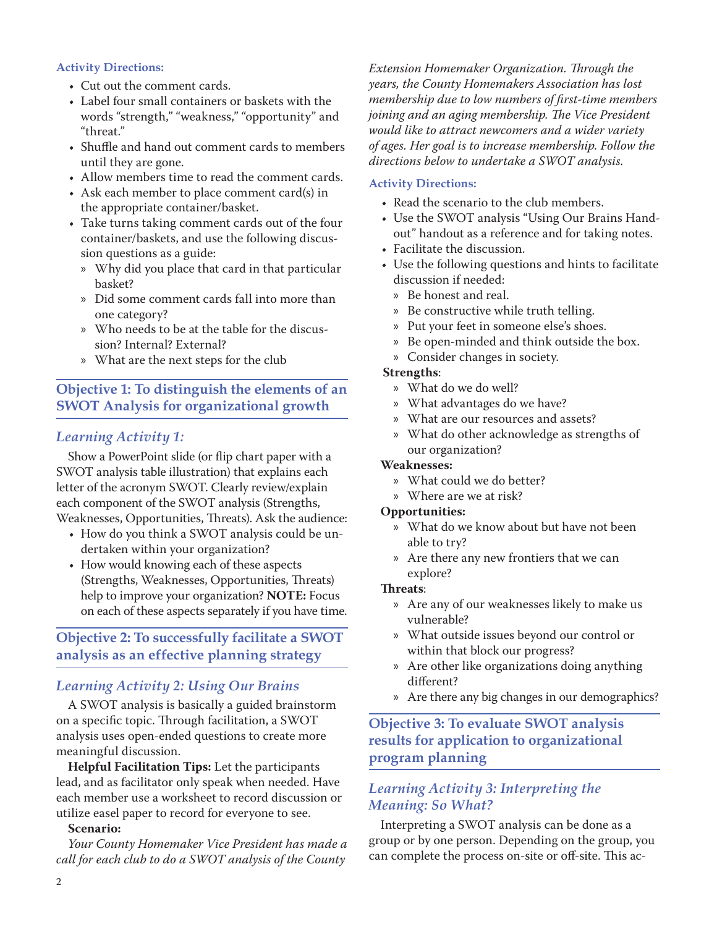#### **Activity Directions:**

- Cut out the comment cards.
- • Label four small containers or baskets with the words "strength," "weakness," "opportunity" and "threat."
- • Shuffle and hand out comment cards to members until they are gone.
- Allow members time to read the comment cards.
- • Ask each member to place comment card(s) in the appropriate container/basket.
- Take turns taking comment cards out of the four container/baskets, and use the following discussion questions as a guide:
	- » Why did you place that card in that particular basket?
	- » Did some comment cards fall into more than one category?
	- » Who needs to be at the table for the discussion? Internal? External?
	- » What are the next steps for the club

#### **Objective 1: To distinguish the elements of an SWOT Analysis for organizational growth**

#### *Learning Activity 1:*

Show a PowerPoint slide (or flip chart paper with a SWOT analysis table illustration) that explains each letter of the acronym SWOT. Clearly review/explain each component of the SWOT analysis (Strengths, Weaknesses, Opportunities, Threats). Ask the audience:

- How do you think a SWOT analysis could be undertaken within your organization?
- How would knowing each of these aspects (Strengths, Weaknesses, Opportunities, Threats) help to improve your organization? **NOTE:** Focus on each of these aspects separately if you have time.

#### **Objective 2: To successfully facilitate a SWOT analysis as an effective planning strategy**

#### *Learning Activity 2: Using Our Brains*

A SWOT analysis is basically a guided brainstorm on a specific topic. Through facilitation, a SWOT analysis uses open-ended questions to create more meaningful discussion.

**Helpful Facilitation Tips:** Let the participants lead, and as facilitator only speak when needed. Have each member use a worksheet to record discussion or utilize easel paper to record for everyone to see.

#### **Scenario:**

*Your County Homemaker Vice President has made a call for each club to do a SWOT analysis of the County* 

*Extension Homemaker Organization. Through the years, the County Homemakers Association has lost membership due to low numbers of first-time members joining and an aging membership. The Vice President would like to attract newcomers and a wider variety of ages. Her goal is to increase membership. Follow the directions below to undertake a SWOT analysis.*

#### **Activity Directions:**

- Read the scenario to the club members.
- Use the SWOT analysis "Using Our Brains Handout" handout as a reference and for taking notes.
- Facilitate the discussion.
- Use the following questions and hints to facilitate discussion if needed:
	- » Be honest and real.
	- » Be constructive while truth telling.
	- » Put your feet in someone else's shoes.
	- » Be open-minded and think outside the box.
	- » Consider changes in society.

#### **Strengths**:

- » What do we do well?
- » What advantages do we have?
- » What are our resources and assets?
- » What do other acknowledge as strengths of our organization?

#### **Weaknesses:**

- » What could we do better?
- » Where are we at risk?

#### **Opportunities:**

- » What do we know about but have not been able to try?
- » Are there any new frontiers that we can explore?

#### **Threats**:

- » Are any of our weaknesses likely to make us vulnerable?
- » What outside issues beyond our control or within that block our progress?
- » Are other like organizations doing anything different?
- » Are there any big changes in our demographics?

#### **Objective 3: To evaluate SWOT analysis results for application to organizational program planning**

#### *Learning Activity 3: Interpreting the Meaning: So What?*

Interpreting a SWOT analysis can be done as a group or by one person. Depending on the group, you can complete the process on-site or off-site. This ac-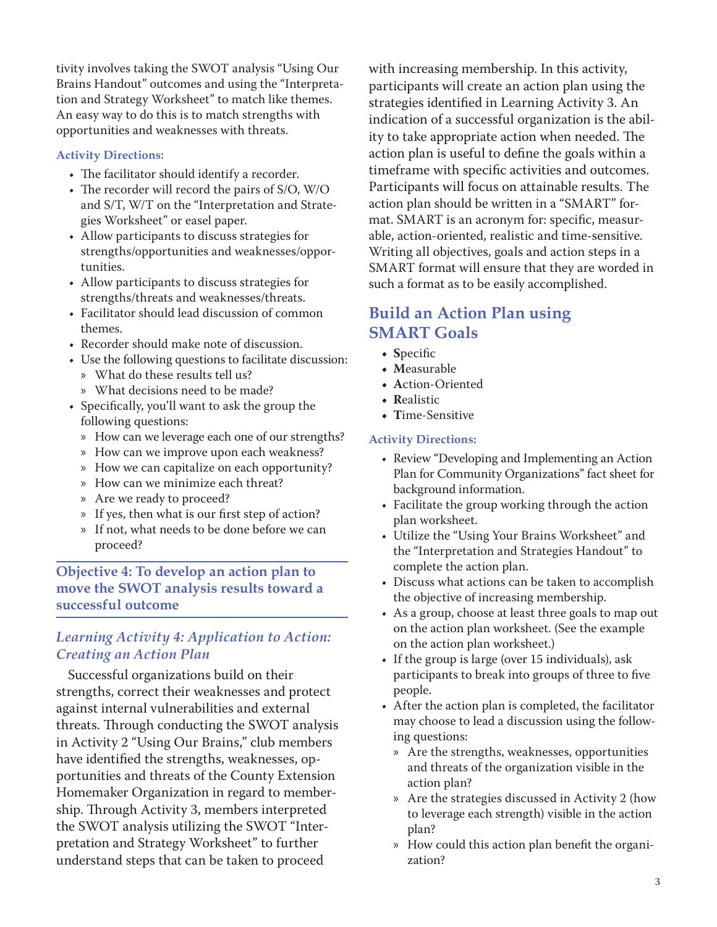tivity involves taking the SWOT analysis "Using Our Brains Handout" outcomes and using the "Interpretation and Strategy Worksheet" to match like themes. An easy way to do this is to match strengths with opportunities and weaknesses with threats.

#### **Activity Directions:**

- The facilitator should identify a recorder.
- The recorder will record the pairs of S/O, W/O and S/T, W/T on the "Interpretation and Strategies Worksheet" or easel paper.
- • Allow participants to discuss strategies for strengths/opportunities and weaknesses/opportunities.
- • Allow participants to discuss strategies for strengths/threats and weaknesses/threats.
- Facilitator should lead discussion of common themes.
- Recorder should make note of discussion.
- Use the following questions to facilitate discussion:
	- » What do these results tell us?
	- » What decisions need to be made?
- • Specifically, you'll want to ask the group the following questions:
	- » How can we leverage each one of our strengths?
	- » How can we improve upon each weakness?
	- » How we can capitalize on each opportunity?
	- » How can we minimize each threat?
	- » Are we ready to proceed?
	- » If yes, then what is our first step of action?
	- » If not, what needs to be done before we can proceed?

#### **Objective 4: To develop an action plan to move the SWOT analysis results toward a successful outcome**

#### *Learning Activity 4: Application to Action: Creating an Action Plan*

Successful organizations build on their strengths, correct their weaknesses and protect against internal vulnerabilities and external threats. Through conducting the SWOT analysis in Activity 2 "Using Our Brains," club members have identified the strengths, weaknesses, opportunities and threats of the County Extension Homemaker Organization in regard to membership. Through Activity 3, members interpreted the SWOT analysis utilizing the SWOT "Interpretation and Strategy Worksheet" to further understand steps that can be taken to proceed

with increasing membership. In this activity, participants will create an action plan using the strategies identified in Learning Activity 3. An indication of a successful organization is the ability to take appropriate action when needed. The action plan is useful to define the goals within a timeframe with specific activities and outcomes. Participants will focus on attainable results. The action plan should be written in a "SMART" format. SMART is an acronym for: specific, measurable, action-oriented, realistic and time-sensitive. Writing all objectives, goals and action steps in a SMART format will ensure that they are worded in such a format as to be easily accomplished.

### **Build an Action Plan using SMART Goals**

- **• S**pecific
- **• M**easurable
- **• A**ction-Oriented
- **• R**ealistic
- **• T**ime-Sensitive

#### **Activity Directions:**

- Review "Developing and Implementing an Action Plan for Community Organizations" fact sheet for background information.
- • Facilitate the group working through the action plan worksheet.
- • Utilize the "Using Your Brains Worksheet" and the "Interpretation and Strategies Handout" to complete the action plan.
- Discuss what actions can be taken to accomplish the objective of increasing membership.
- As a group, choose at least three goals to map out on the action plan worksheet. (See the example on the action plan worksheet.)
- $\bullet$  If the group is large (over 15 individuals), ask participants to break into groups of three to five people.
- After the action plan is completed, the facilitator may choose to lead a discussion using the following questions:
	- » Are the strengths, weaknesses, opportunities and threats of the organization visible in the action plan?
	- » Are the strategies discussed in Activity 2 (how to leverage each strength) visible in the action plan?
	- » How could this action plan benefit the organization?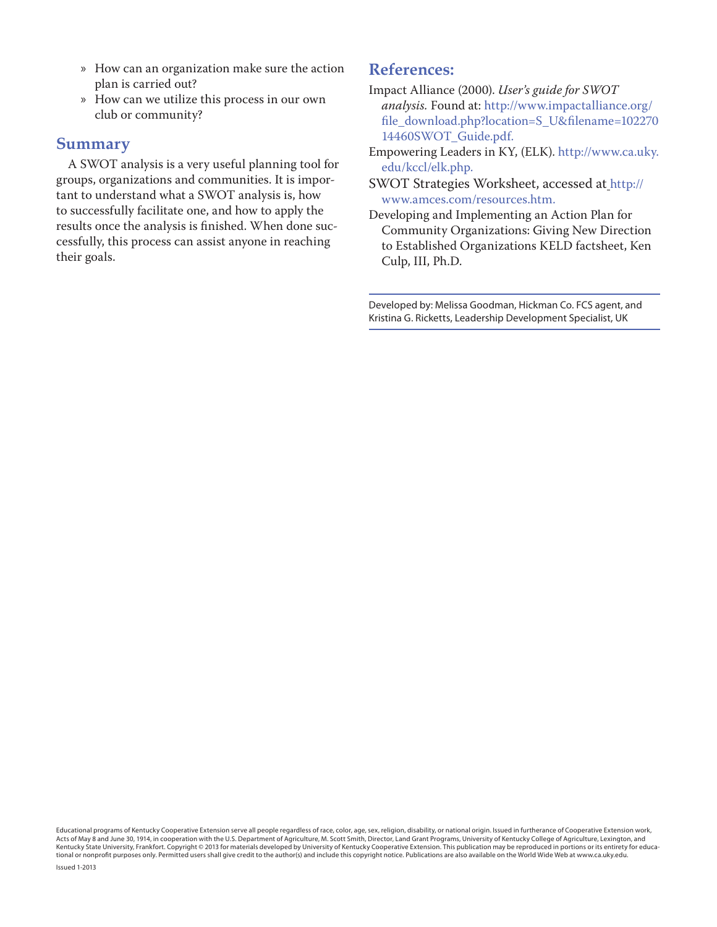- » How can an organization make sure the action plan is carried out?
- » How can we utilize this process in our own club or community?

#### **Summary**

A SWOT analysis is a very useful planning tool for groups, organizations and communities. It is important to understand what a SWOT analysis is, how to successfully facilitate one, and how to apply the results once the analysis is finished. When done successfully, this process can assist anyone in reaching their goals.

#### **References:**

- Impact Alliance (2000). *User's guide for SWOT analysis.* Found at: [http://www.impactalliance.org/](http://www.impactalliance.org/file_download.php?location=S_U&filename=10227014460SWOT_Guide.pdf) [file\\_download.php?location=S\\_U&filename=102270](http://www.impactalliance.org/file_download.php?location=S_U&filename=10227014460SWOT_Guide.pdf) [14460SWOT\\_Guide.pdf](http://www.impactalliance.org/file_download.php?location=S_U&filename=10227014460SWOT_Guide.pdf).
- Empowering Leaders in KY, (ELK). [http://www.ca.uky.](http://www.ca.uky.edu/kccl/elk.php) [edu/kccl/elk.php.](http://www.ca.uky.edu/kccl/elk.php)
- SWOT Strategies Worksheet, accessed at [http://](http://www.amces.com/resources.htm) [www.amces.com/resources.htm](http://www.amces.com/resources.htm).
- Developing and Implementing an Action Plan for Community Organizations: Giving New Direction to Established Organizations KELD factsheet, Ken Culp, III, Ph.D.

Developed by: Melissa Goodman, Hickman Co. FCS agent, and Kristina G. Ricketts, Leadership Development Specialist, UK

Educational programs of Kentucky Cooperative Extension serve all people regardless of race, color, age, sex, religion, disability, or national origin. Issued in furtherance of Cooperative Extension work, Acts of May 8 and June 30, 1914, in cooperation with the U.S. Department of Agriculture, M. Scott Smith, Director, Land Grant Programs, University of Kentucky College of Agriculture, Lexington, and<br>Kentucky State Universi tional or nonprofit purposes only. Permitted users shall give credit to the author(s) and include this copyright notice. Publications are also available on the World Wide Web at www.ca.uky.edu.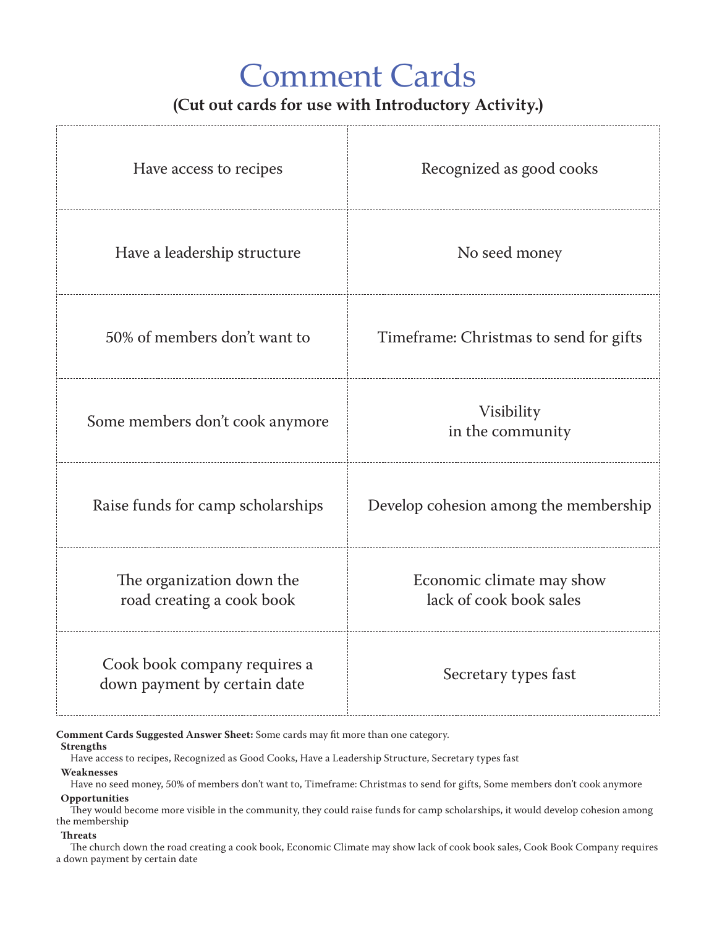# Comment Cards

# **(Cut out cards for use with Introductory Activity.)**

| Have access to recipes                                                                               | Recognized as good cooks                             |  |  |  |  |
|------------------------------------------------------------------------------------------------------|------------------------------------------------------|--|--|--|--|
| Have a leadership structure                                                                          | No seed money                                        |  |  |  |  |
| 50% of members don't want to                                                                         | Timeframe: Christmas to send for gifts               |  |  |  |  |
| Some members don't cook anymore                                                                      | Visibility<br>in the community                       |  |  |  |  |
| Raise funds for camp scholarships                                                                    | Develop cohesion among the membership                |  |  |  |  |
| The organization down the<br>road creating a cook book                                               | Economic climate may show<br>lack of cook book sales |  |  |  |  |
| Cook book company requires a<br>down payment by certain date                                         | Secretary types fast                                 |  |  |  |  |
| Comment Cards Suggested Answer Sheet: Some cards may fit more than one category.<br><b>Strengths</b> |                                                      |  |  |  |  |

Have access to recipes, Recognized as Good Cooks, Have a Leadership Structure, Secretary types fast

#### **Weaknesses**

 Have no seed money, 50% of members don't want to, Timeframe: Christmas to send for gifts, Some members don't cook anymore **Opportunities**

 They would become more visible in the community, they could raise funds for camp scholarships, it would develop cohesion among the membership

#### **Threats**

 The church down the road creating a cook book, Economic Climate may show lack of cook book sales, Cook Book Company requires a down payment by certain date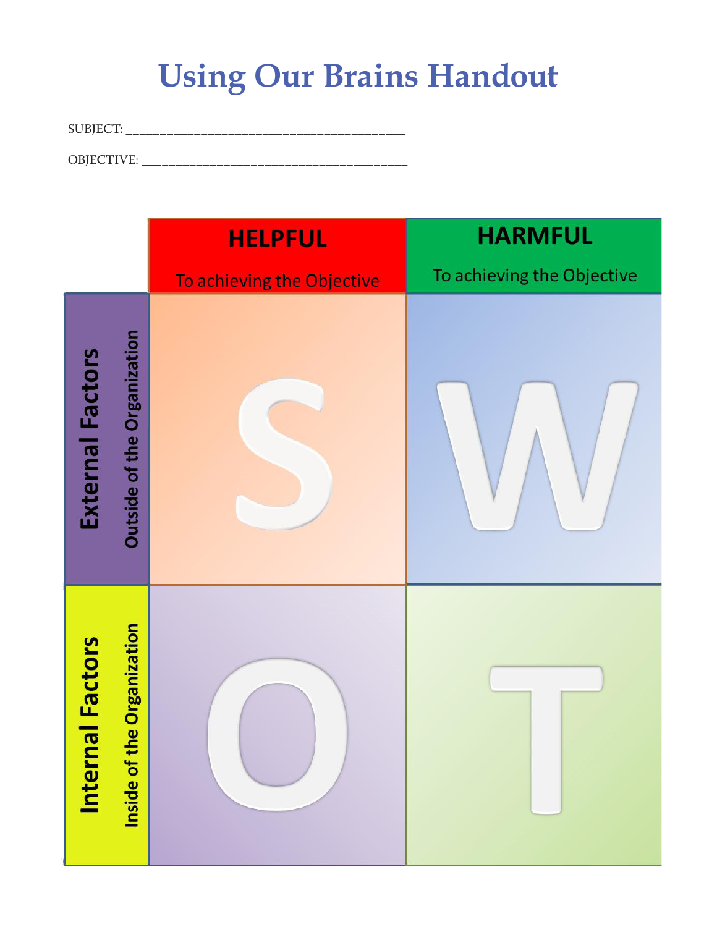# **Using Our Brains Handout**

SUBJECT: \_\_\_\_\_\_\_\_\_\_\_\_\_\_\_\_\_\_\_\_\_\_\_\_\_\_\_\_\_\_\_\_\_\_\_\_\_\_\_\_\_

OBJECTIVE: \_\_\_\_\_\_\_\_\_\_\_\_\_\_\_\_\_\_\_\_\_\_\_\_\_\_\_\_\_\_\_\_\_\_\_\_\_\_\_

|                         | <b>HELPFUL</b>                     |                            | <b>HARMFUL</b>             |  |
|-------------------------|------------------------------------|----------------------------|----------------------------|--|
|                         |                                    | To achieving the Objective | To achieving the Objective |  |
| <b>External Factors</b> | <b>Outside of the Organization</b> |                            |                            |  |
| <b>Internal Factors</b> | e Organization<br>Inside of th     |                            |                            |  |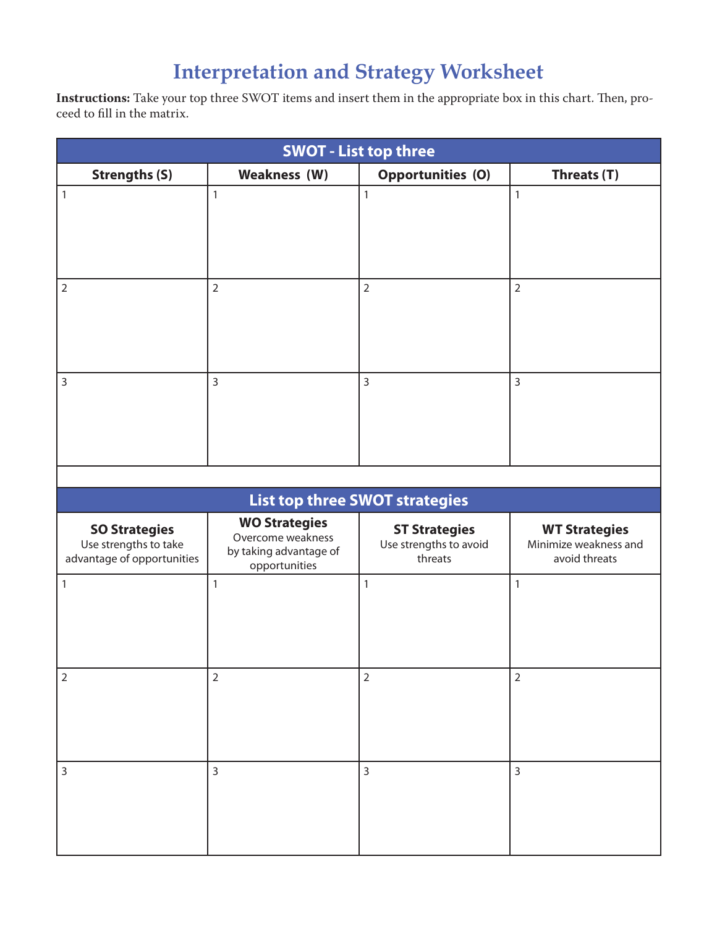# **Interpretation and Strategy Worksheet**

**Instructions:** Take your top three SWOT items and insert them in the appropriate box in this chart. Then, proceed to fill in the matrix.

| <b>SWOT - List top three</b>                                                |                                                                                      |                                                           |                                                                |  |  |  |  |  |
|-----------------------------------------------------------------------------|--------------------------------------------------------------------------------------|-----------------------------------------------------------|----------------------------------------------------------------|--|--|--|--|--|
| <b>Strengths (S)</b>                                                        | <b>Weakness (W)</b>                                                                  | <b>Opportunities (O)</b>                                  | Threats (T)                                                    |  |  |  |  |  |
| $\vert$ 1                                                                   | $\mathbf{1}$                                                                         | $\mathbf{1}$                                              | $\mathbf{1}$                                                   |  |  |  |  |  |
| $\overline{2}$                                                              | $\overline{2}$                                                                       | $\overline{2}$                                            | $\overline{2}$                                                 |  |  |  |  |  |
| 3                                                                           | $\overline{3}$                                                                       | $\overline{3}$                                            | 3                                                              |  |  |  |  |  |
|                                                                             |                                                                                      |                                                           |                                                                |  |  |  |  |  |
|                                                                             |                                                                                      | <b>List top three SWOT strategies</b>                     |                                                                |  |  |  |  |  |
| <b>SO Strategies</b><br>Use strengths to take<br>advantage of opportunities | <b>WO Strategies</b><br>Overcome weakness<br>by taking advantage of<br>opportunities | <b>ST Strategies</b><br>Use strengths to avoid<br>threats | <b>WT Strategies</b><br>Minimize weakness and<br>avoid threats |  |  |  |  |  |
| $\mathbf{1}$                                                                | $\mathbf{1}$                                                                         | $\mathbf{1}$                                              | $\mathbf{1}$                                                   |  |  |  |  |  |
| $\overline{2}$                                                              | $\overline{2}$                                                                       | $\overline{2}$                                            | $\overline{2}$                                                 |  |  |  |  |  |
| $\mathsf{3}$                                                                | $\overline{3}$                                                                       | $\overline{3}$                                            | $\overline{3}$                                                 |  |  |  |  |  |